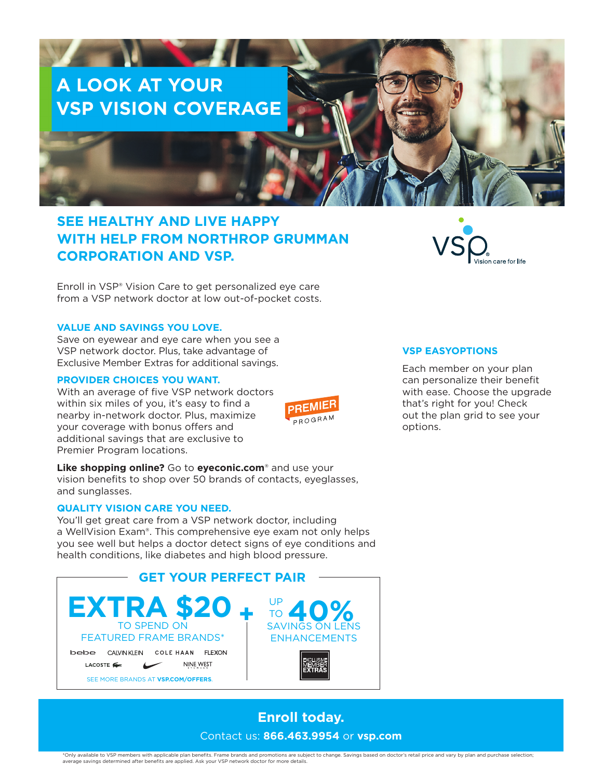# **A LOOK AT YOUR VSP VISION COVERAGE**

## **SEE HEALTHY AND LIVE HAPPY WITH HELP FROM NORTHROP GRUMMAN CORPORATION AND VSP.**

Enroll in VSP® Vision Care to get personalized eye care from a VSP network doctor at low out-of-pocket costs.

#### **VALUE AND SAVINGS YOU LOVE.**

Save on eyewear and eye care when you see a VSP network doctor. Plus, take advantage of Exclusive Member Extras for additional savings.

#### **PROVIDER CHOICES YOU WANT.**

With an average of five VSP network doctors within six miles of you, it's easy to find a nearby in-network doctor. Plus, maximize your coverage with bonus offers and additional savings that are exclusive to Premier Program locations.

**Like shopping online?** Go to **eyeconic.com**® and use your vision benefits to shop over 50 brands of contacts, eyeglasses, and sunglasses.

#### **QUALITY VISION CARE YOU NEED.**

You'll get great care from a VSP network doctor, including a WellVision Exam®. This comprehensive eye exam not only helps you see well but helps a doctor detect signs of eye conditions and health conditions, like diabetes and high blood pressure.



### **Enroll today.**  Contact us: **866.463.9954** or **vsp.com**

**PREMIEF** PROGRAM



#### **VSP EASYOPTIONS**

Each member on your plan can personalize their benefit with ease. Choose the upgrade that's right for you! Check out the plan grid to see your options.

\*Only available to VSP members with applicable plan benefits. Frame brands and promotions are subject to change. Savings based on doctor's retail price and vary by plan and purchase selection;<br>average savings determined af